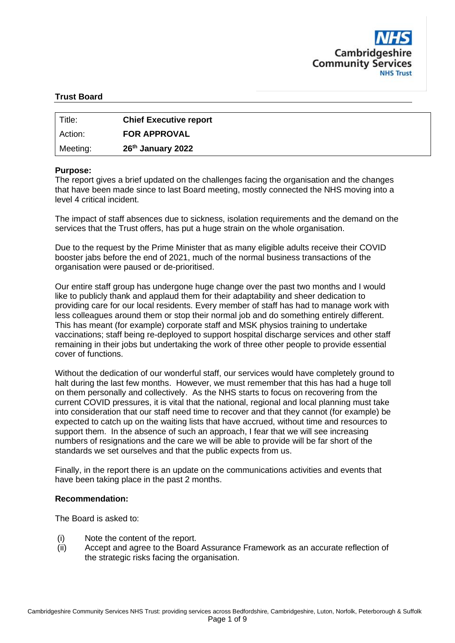

#### **Trust Board**

| Title:   | <b>Chief Executive report</b> |
|----------|-------------------------------|
| Action:  | <b>FOR APPROVAL</b>           |
| Meeting: | 26 <sup>th</sup> January 2022 |

#### **Purpose:**

The report gives a brief updated on the challenges facing the organisation and the changes that have been made since to last Board meeting, mostly connected the NHS moving into a level 4 critical incident.

The impact of staff absences due to sickness, isolation requirements and the demand on the services that the Trust offers, has put a huge strain on the whole organisation.

Due to the request by the Prime Minister that as many eligible adults receive their COVID booster jabs before the end of 2021, much of the normal business transactions of the organisation were paused or de-prioritised.

Our entire staff group has undergone huge change over the past two months and I would like to publicly thank and applaud them for their adaptability and sheer dedication to providing care for our local residents. Every member of staff has had to manage work with less colleagues around them or stop their normal job and do something entirely different. This has meant (for example) corporate staff and MSK physios training to undertake vaccinations; staff being re-deployed to support hospital discharge services and other staff remaining in their jobs but undertaking the work of three other people to provide essential cover of functions.

Without the dedication of our wonderful staff, our services would have completely ground to halt during the last few months. However, we must remember that this has had a huge toll on them personally and collectively. As the NHS starts to focus on recovering from the current COVID pressures, it is vital that the national, regional and local planning must take into consideration that our staff need time to recover and that they cannot (for example) be expected to catch up on the waiting lists that have accrued, without time and resources to support them. In the absence of such an approach, I fear that we will see increasing numbers of resignations and the care we will be able to provide will be far short of the standards we set ourselves and that the public expects from us.

Finally, in the report there is an update on the communications activities and events that have been taking place in the past 2 months.

#### **Recommendation:**

The Board is asked to:

- (i) Note the content of the report.
- (ii) Accept and agree to the Board Assurance Framework as an accurate reflection of the strategic risks facing the organisation.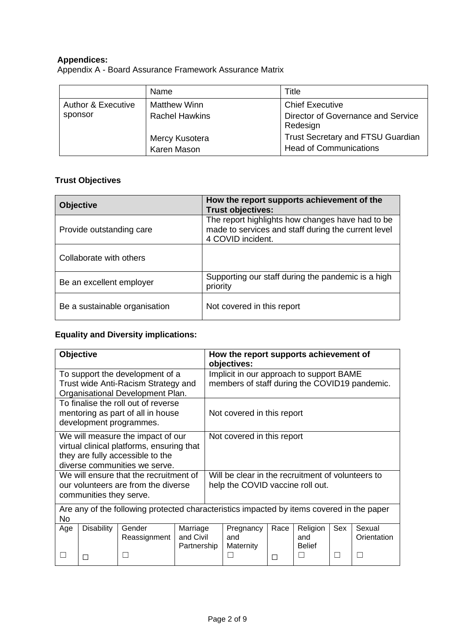## **Appendices:**

Appendix A - Board Assurance Framework Assurance Matrix

|                               | Name                          | Title                                                                     |
|-------------------------------|-------------------------------|---------------------------------------------------------------------------|
| <b>Author &amp; Executive</b> | <b>Matthew Winn</b>           | <b>Chief Executive</b>                                                    |
| sponsor                       | <b>Rachel Hawkins</b>         | Director of Governance and Service<br>Redesign                            |
|                               | Mercy Kusotera<br>Karen Mason | <b>Trust Secretary and FTSU Guardian</b><br><b>Head of Communications</b> |

# **Trust Objectives**

| <b>Objective</b>              | How the report supports achievement of the<br><b>Trust objectives:</b>                                                       |
|-------------------------------|------------------------------------------------------------------------------------------------------------------------------|
| Provide outstanding care      | The report highlights how changes have had to be<br>made to services and staff during the current level<br>4 COVID incident. |
| Collaborate with others       |                                                                                                                              |
| Be an excellent employer      | Supporting our staff during the pandemic is a high<br>priority                                                               |
| Be a sustainable organisation | Not covered in this report                                                                                                   |

# **Equality and Diversity implications:**

|                                                                                                                                                                                                   | Objective         |                                                                                                            |                                      | How the report supports achievement of<br>objectives:                                     |                               |      |                                  |     |                       |  |  |
|---------------------------------------------------------------------------------------------------------------------------------------------------------------------------------------------------|-------------------|------------------------------------------------------------------------------------------------------------|--------------------------------------|-------------------------------------------------------------------------------------------|-------------------------------|------|----------------------------------|-----|-----------------------|--|--|
|                                                                                                                                                                                                   |                   | To support the development of a<br>Trust wide Anti-Racism Strategy and<br>Organisational Development Plan. |                                      | Implicit in our approach to support BAME<br>members of staff during the COVID19 pandemic. |                               |      |                                  |     |                       |  |  |
|                                                                                                                                                                                                   |                   | To finalise the roll out of reverse<br>mentoring as part of all in house<br>development programmes.        |                                      | Not covered in this report                                                                |                               |      |                                  |     |                       |  |  |
| We will measure the impact of our<br>Not covered in this report<br>virtual clinical platforms, ensuring that<br>they are fully accessible to the<br>diverse communities we serve.                 |                   |                                                                                                            |                                      |                                                                                           |                               |      |                                  |     |                       |  |  |
| Will be clear in the recruitment of volunteers to<br>We will ensure that the recruitment of<br>help the COVID vaccine roll out.<br>our volunteers are from the diverse<br>communities they serve. |                   |                                                                                                            |                                      |                                                                                           |                               |      |                                  |     |                       |  |  |
| <b>No</b>                                                                                                                                                                                         |                   | Are any of the following protected characteristics impacted by items covered in the paper                  |                                      |                                                                                           |                               |      |                                  |     |                       |  |  |
| Age                                                                                                                                                                                               | <b>Disability</b> | Gender<br>Reassignment                                                                                     | Marriage<br>and Civil<br>Partnership |                                                                                           | Pregnancy<br>and<br>Maternity | Race | Religion<br>and<br><b>Belief</b> | Sex | Sexual<br>Orientation |  |  |
|                                                                                                                                                                                                   |                   |                                                                                                            |                                      |                                                                                           |                               | П    | П                                |     |                       |  |  |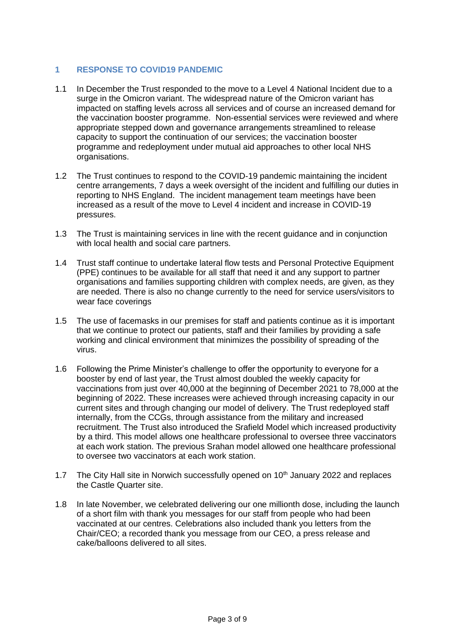## **1 RESPONSE TO COVID19 PANDEMIC**

- 1.1 In December the Trust responded to the move to a Level 4 National Incident due to a surge in the Omicron variant. The widespread nature of the Omicron variant has impacted on staffing levels across all services and of course an increased demand for the vaccination booster programme. Non-essential services were reviewed and where appropriate stepped down and governance arrangements streamlined to release capacity to support the continuation of our services; the vaccination booster programme and redeployment under mutual aid approaches to other local NHS organisations.
- 1.2 The Trust continues to respond to the COVID-19 pandemic maintaining the incident centre arrangements, 7 days a week oversight of the incident and fulfilling our duties in reporting to NHS England. The incident management team meetings have been increased as a result of the move to Level 4 incident and increase in COVID-19 pressures.
- 1.3 The Trust is maintaining services in line with the recent guidance and in conjunction with local health and social care partners.
- 1.4 Trust staff continue to undertake lateral flow tests and Personal Protective Equipment (PPE) continues to be available for all staff that need it and any support to partner organisations and families supporting children with complex needs, are given, as they are needed. There is also no change currently to the need for service users/visitors to wear face coverings
- 1.5 The use of facemasks in our premises for staff and patients continue as it is important that we continue to protect our patients, staff and their families by providing a safe working and clinical environment that minimizes the possibility of spreading of the virus.
- 1.6 Following the Prime Minister's challenge to offer the opportunity to everyone for a booster by end of last year, the Trust almost doubled the weekly capacity for vaccinations from just over 40,000 at the beginning of December 2021 to 78,000 at the beginning of 2022. These increases were achieved through increasing capacity in our current sites and through changing our model of delivery. The Trust redeployed staff internally, from the CCGs, through assistance from the military and increased recruitment. The Trust also introduced the Srafield Model which increased productivity by a third. This model allows one healthcare professional to oversee three vaccinators at each work station. The previous Srahan model allowed one healthcare professional to oversee two vaccinators at each work station.
- 1.7 The City Hall site in Norwich successfully opened on 10<sup>th</sup> January 2022 and replaces the Castle Quarter site.
- 1.8 In late November, we celebrated delivering our one millionth dose, including the launch of a short film with thank you messages for our staff from people who had been vaccinated at our centres. Celebrations also included thank you letters from the Chair/CEO; a recorded thank you message from our CEO, a press release and cake/balloons delivered to all sites.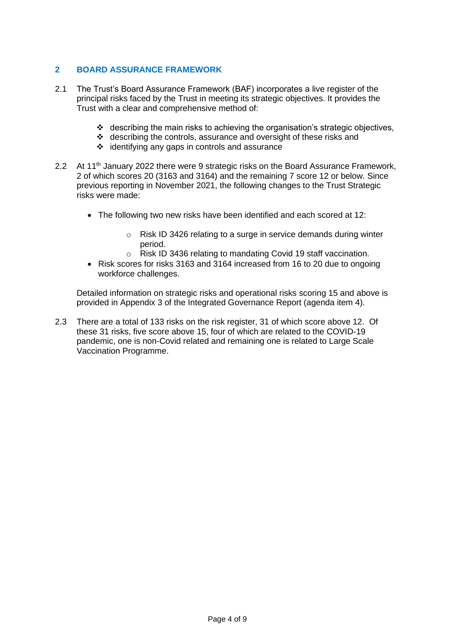## **2 BOARD ASSURANCE FRAMEWORK**

- 2.1 The Trust's Board Assurance Framework (BAF) incorporates a live register of the principal risks faced by the Trust in meeting its strategic objectives. It provides the Trust with a clear and comprehensive method of:
	- ❖ describing the main risks to achieving the organisation's strategic objectives,
	- ❖ describing the controls, assurance and oversight of these risks and
	- ❖ identifying any gaps in controls and assurance
- 2.2 At 11<sup>th</sup> January 2022 there were 9 strategic risks on the Board Assurance Framework, 2 of which scores 20 (3163 and 3164) and the remaining 7 score 12 or below. Since previous reporting in November 2021, the following changes to the Trust Strategic risks were made:
	- The following two new risks have been identified and each scored at 12:
		- o Risk ID 3426 relating to a surge in service demands during winter period.
		- o Risk ID 3436 relating to mandating Covid 19 staff vaccination.
	- Risk scores for risks 3163 and 3164 increased from 16 to 20 due to ongoing workforce challenges.

Detailed information on strategic risks and operational risks scoring 15 and above is provided in Appendix 3 of the Integrated Governance Report (agenda item 4).

2.3 There are a total of 133 risks on the risk register, 31 of which score above 12. Of these 31 risks, five score above 15, four of which are related to the COVID-19 pandemic, one is non-Covid related and remaining one is related to Large Scale Vaccination Programme.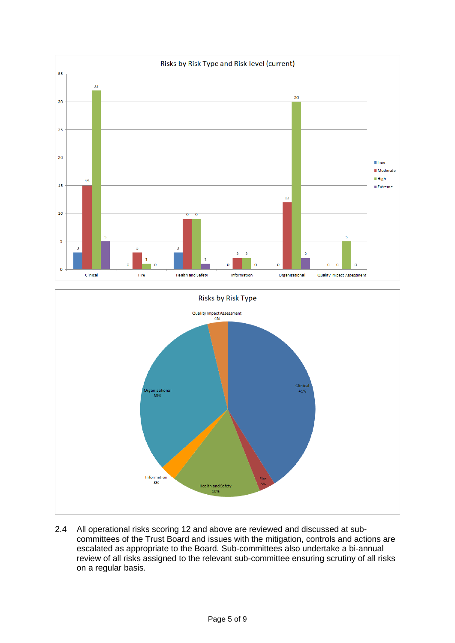



2.4 All operational risks scoring 12 and above are reviewed and discussed at subcommittees of the Trust Board and issues with the mitigation, controls and actions are escalated as appropriate to the Board. Sub-committees also undertake a bi-annual review of all risks assigned to the relevant sub-committee ensuring scrutiny of all risks on a regular basis.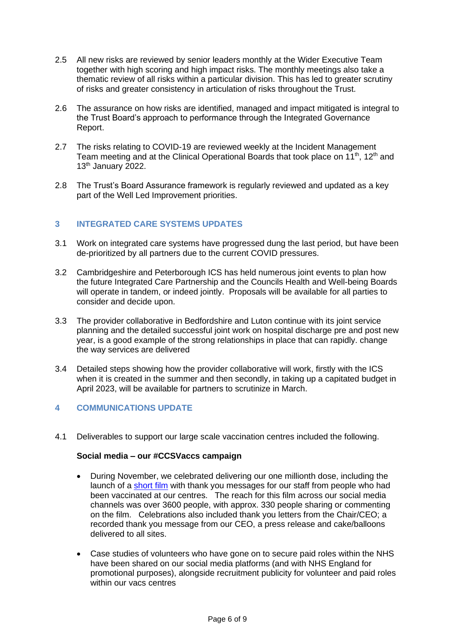- 2.5 All new risks are reviewed by senior leaders monthly at the Wider Executive Team together with high scoring and high impact risks. The monthly meetings also take a thematic review of all risks within a particular division. This has led to greater scrutiny of risks and greater consistency in articulation of risks throughout the Trust.
- 2.6 The assurance on how risks are identified, managed and impact mitigated is integral to the Trust Board's approach to performance through the Integrated Governance Report.
- 2.7 The risks relating to COVID-19 are reviewed weekly at the Incident Management Team meeting and at the Clinical Operational Boards that took place on  $11<sup>th</sup>$ ,  $12<sup>th</sup>$  and  $13<sup>th</sup>$  January 2022.
- 2.8 The Trust's Board Assurance framework is regularly reviewed and updated as a key part of the Well Led Improvement priorities.

#### **3 INTEGRATED CARE SYSTEMS UPDATES**

- 3.1 Work on integrated care systems have progressed dung the last period, but have been de-prioritized by all partners due to the current COVID pressures.
- 3.2 Cambridgeshire and Peterborough ICS has held numerous joint events to plan how the future Integrated Care Partnership and the Councils Health and Well-being Boards will operate in tandem, or indeed jointly. Proposals will be available for all parties to consider and decide upon.
- 3.3 The provider collaborative in Bedfordshire and Luton continue with its joint service planning and the detailed successful joint work on hospital discharge pre and post new year, is a good example of the strong relationships in place that can rapidly. change the way services are delivered
- 3.4 Detailed steps showing how the provider collaborative will work, firstly with the ICS when it is created in the summer and then secondly, in taking up a capitated budget in April 2023, will be available for partners to scrutinize in March.

#### **4 COMMUNICATIONS UPDATE**

4.1 Deliverables to support our large scale vaccination centres included the following.

#### **Social media – our #CCSVaccs campaign**

- During November, we celebrated delivering our one millionth dose, including the launch of a [short film](https://twitter.com/ccs_nhst/status/1463795278113386498) with thank you messages for our staff from people who had been vaccinated at our centres. The reach for this film across our social media channels was over 3600 people, with approx. 330 people sharing or commenting on the film. Celebrations also included thank you letters from the Chair/CEO; a recorded thank you message from our CEO, a press release and cake/balloons delivered to all sites.
- Case studies of volunteers who have gone on to secure paid roles within the NHS have been shared on our social media platforms (and with NHS England for promotional purposes), alongside recruitment publicity for volunteer and paid roles within our vacs centres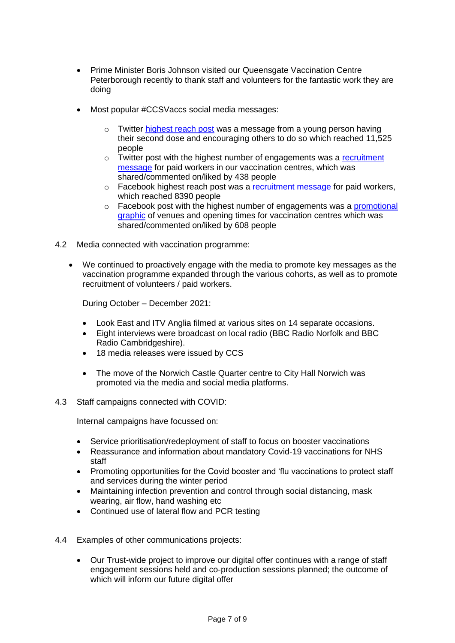- Prime Minister Boris Johnson visited our Queensgate Vaccination Centre Peterborough recently to thank staff and volunteers for the fantastic work they are doing
- Most popular #CCSVaccs social media messages:
	- o Twitter [highest reach post](https://twitter.com/ccs_nhst/status/1448936928775217152) was a message from a young person having their second dose and encouraging others to do so which reached 11,525 people
	- $\circ$  Twitter post with the highest number of engagements was a recruitment [message](https://twitter.com/ccs_nhst/status/1470332926718099458) for paid workers in our vaccination centres, which was shared/commented on/liked by 438 people
	- $\circ$  Facebook highest reach post was a [recruitment message](https://www.facebook.com/CCSNHST/photos/a.456521097721361/6855979697775437/?type=3) for paid workers, which reached 8390 people
	- o Facebook post with the highest number of engagements was a [promotional](https://www.facebook.com/CCSNHST/photos/a.456521097721361/6759571047416303/?type=3)  [graphic](https://www.facebook.com/CCSNHST/photos/a.456521097721361/6759571047416303/?type=3) of venues and opening times for vaccination centres which was shared/commented on/liked by 608 people
- 4.2 Media connected with vaccination programme:
	- We continued to proactively engage with the media to promote key messages as the vaccination programme expanded through the various cohorts, as well as to promote recruitment of volunteers / paid workers.

During October – December 2021:

- Look East and ITV Anglia filmed at various sites on 14 separate occasions.
- Eight interviews were broadcast on local radio (BBC Radio Norfolk and BBC Radio Cambridgeshire).
- 18 media releases were issued by CCS
- The move of the Norwich Castle Quarter centre to City Hall Norwich was promoted via the media and social media platforms.
- 4.3 Staff campaigns connected with COVID:

Internal campaigns have focussed on:

- Service prioritisation/redeployment of staff to focus on booster vaccinations
- Reassurance and information about mandatory Covid-19 vaccinations for NHS staff
- Promoting opportunities for the Covid booster and 'flu vaccinations to protect staff and services during the winter period
- Maintaining infection prevention and control through social distancing, mask wearing, air flow, hand washing etc
- Continued use of lateral flow and PCR testing
- 4.4 Examples of other communications projects:
	- Our Trust-wide project to improve our digital offer continues with a range of staff engagement sessions held and co-production sessions planned; the outcome of which will inform our future digital offer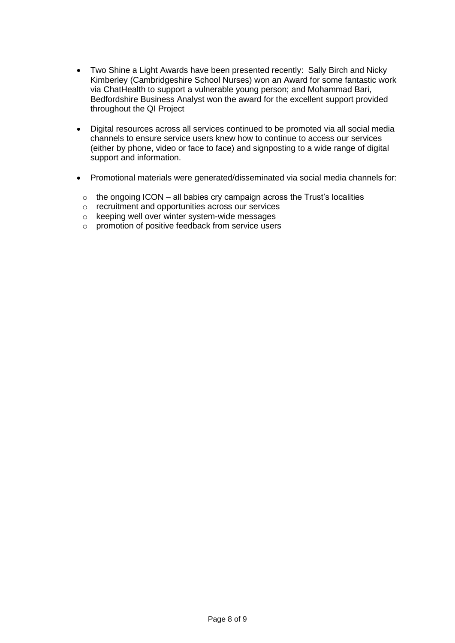- Two Shine a Light Awards have been presented recently: Sally Birch and Nicky Kimberley (Cambridgeshire School Nurses) won an Award for some fantastic work via ChatHealth to support a vulnerable young person; and Mohammad Bari, Bedfordshire Business Analyst won the award for the excellent support provided throughout the QI Project
- Digital resources across all services continued to be promoted via all social media channels to ensure service users knew how to continue to access our services (either by phone, video or face to face) and signposting to a wide range of digital support and information.
- Promotional materials were generated/disseminated via social media channels for:
	- $\circ$  the ongoing ICON all babies cry campaign across the Trust's localities
	- o recruitment and opportunities across our services
	- o keeping well over winter system-wide messages
	- o promotion of positive feedback from service users